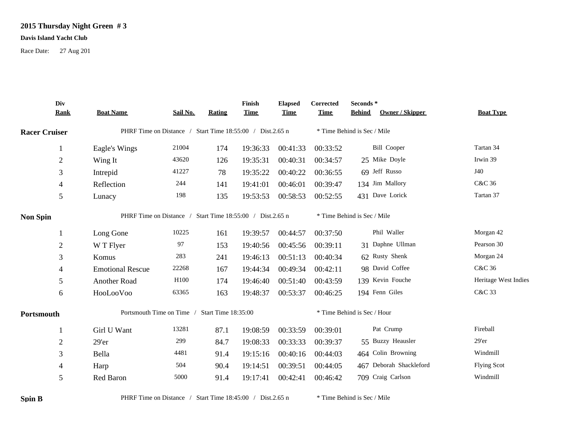## **2015 Thursday Night Green # 3**

## **Davis Island Yacht Club**

Race Date: 27 Aug 201

|                      | Div<br><b>Rank</b> | <b>Boat Name</b>                                          | Sail No. | Rating | Finish<br><b>Time</b> | <b>Elapsed</b><br><b>Time</b> | Corrected<br><b>Time</b>    | Seconds*<br><b>Behind</b>   | <b>Owner / Skipper</b>  | <b>Boat Type</b>     |  |
|----------------------|--------------------|-----------------------------------------------------------|----------|--------|-----------------------|-------------------------------|-----------------------------|-----------------------------|-------------------------|----------------------|--|
| <b>Racer Cruiser</b> |                    | PHRF Time on Distance / Start Time 18:55:00 / Dist.2.65 n |          |        |                       |                               |                             | * Time Behind is Sec / Mile |                         |                      |  |
|                      | $\mathbf{1}$       | Eagle's Wings                                             | 21004    | 174    | 19:36:33              | 00:41:33                      | 00:33:52                    |                             | <b>Bill Cooper</b>      | Tartan 34            |  |
|                      | $\boldsymbol{2}$   | Wing It                                                   | 43620    | 126    | 19:35:31              | 00:40:31                      | 00:34:57                    |                             | 25 Mike Doyle           | Irwin 39             |  |
|                      | 3                  | Intrepid                                                  | 41227    | 78     | 19:35:22              | 00:40:22                      | 00:36:55                    |                             | 69 Jeff Russo           | J40                  |  |
|                      | $\overline{4}$     | Reflection                                                | 244      | 141    | 19:41:01              | 00:46:01                      | 00:39:47                    |                             | 134 Jim Mallory         | C&C 36               |  |
|                      | $\mathfrak{S}$     | Lunacy                                                    | 198      | 135    | 19:53:53              | 00:58:53                      | 00:52:55                    |                             | 431 Dave Lorick         | Tartan 37            |  |
| <b>Non Spin</b>      |                    | PHRF Time on Distance / Start Time 18:55:00 / Dist.2.65 n |          |        |                       |                               | * Time Behind is Sec / Mile |                             |                         |                      |  |
|                      | $\mathbf{1}$       | Long Gone                                                 | 10225    | 161    | 19:39:57              | 00:44:57                      | 00:37:50                    |                             | Phil Waller             | Morgan 42            |  |
|                      | $\mathbf{2}$       | W T Flyer                                                 | 97       | 153    | 19:40:56              | 00:45:56                      | 00:39:11                    |                             | 31 Daphne Ullman        | Pearson 30           |  |
|                      | 3                  | Komus                                                     | 283      | 241    | 19:46:13              | 00:51:13                      | 00:40:34                    |                             | 62 Rusty Shenk          | Morgan 24            |  |
|                      | 4                  | <b>Emotional Rescue</b>                                   | 22268    | 167    | 19:44:34              | 00:49:34                      | 00:42:11                    |                             | 98 David Coffee         | C&C 36               |  |
|                      | 5                  | Another Road                                              | H100     | 174    | 19:46:40              | 00:51:40                      | 00:43:59                    |                             | 139 Kevin Fouche        | Heritage West Indies |  |
|                      | 6                  | HooLooVoo                                                 | 63365    | 163    | 19:48:37              | 00:53:37                      | 00:46:25                    |                             | 194 Fenn Giles          | C&C 33               |  |
| Portsmouth           |                    | Portsmouth Time on Time /<br>Start Time 18:35:00          |          |        |                       |                               | * Time Behind is Sec / Hour |                             |                         |                      |  |
|                      | -1                 | Girl U Want                                               | 13281    | 87.1   | 19:08:59              | 00:33:59                      | 00:39:01                    |                             | Pat Crump               | Fireball             |  |
|                      | $\boldsymbol{2}$   | 29'er                                                     | 299      | 84.7   | 19:08:33              | 00:33:33                      | 00:39:37                    |                             | 55 Buzzy Heausler       | 29'er                |  |
|                      | 3                  | Bella                                                     | 4481     | 91.4   | 19:15:16              | 00:40:16                      | 00:44:03                    |                             | 464 Colin Browning      | Windmill             |  |
|                      | $\overline{4}$     | Harp                                                      | 504      | 90.4   | 19:14:51              | 00:39:51                      | 00:44:05                    |                             | 467 Deborah Shackleford | <b>Flying Scot</b>   |  |
|                      | 5                  | Red Baron                                                 | 5000     | 91.4   | 19:17:41              | 00:42:41                      | 00:46:42                    |                             | 709 Craig Carlson       | Windmill             |  |
|                      |                    |                                                           |          |        |                       |                               |                             |                             |                         |                      |  |

**Spin B** PHRF Time on Distance / Start Time 18:45:00 / Dist.2.65 n \* Time Behind is Sec / Mile